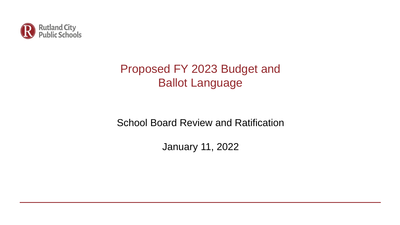

# Proposed FY 2023 Budget and Ballot Language

# School Board Review and Ratification

January 11, 2022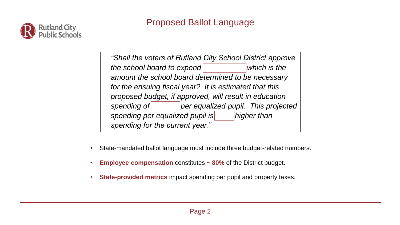

*"Shall the voters of Rutland City School District approve the school board to expend board is the which is the amount the school board determined to be necessary for the ensuing fiscal year? It is estimated that this proposed budget, if approved, will result in education*  spending of *per equalized pupil. This projected spending per equalized pupil is <i>Thigher than Phigher than spending for the current year."*

- State-mandated ballot language must include three budget-related numbers.
- **Employee compensation** constitutes **~ 80%** of the District budget.
- **State-provided metrics** impact spending per pupil and property taxes.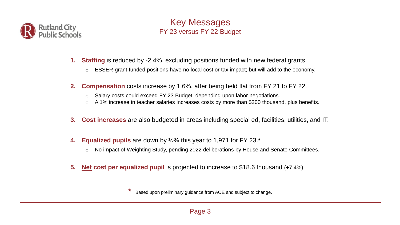

#### Key Messages FY 23 versus FY 22 Budget

- **1. Staffing** is reduced by -2.4%, excluding positions funded with new federal grants.
	- o ESSER-grant funded positions have no local cost or tax impact; but will add to the economy.
- **2. Compensation** costs increase by 1.6%, after being held flat from FY 21 to FY 22.
	- o Salary costs could exceed FY 23 Budget, depending upon labor negotiations.
	- o A 1% increase in teacher salaries increases costs by more than \$200 thousand, plus benefits.
- **3. Cost increases** are also budgeted in areas including special ed, facilities, utilities, and IT.
- **4. Equalized pupils** are down by ½% this year to 1,971 for FY 23.**\***
	- o No impact of Weighting Study, pending 2022 deliberations by House and Senate Committees.
- **5. Net cost per equalized pupil** is projected to increase to \$18.6 thousand (+7.4%).

**\*** Based upon preliminary guidance from AOE and subject to change.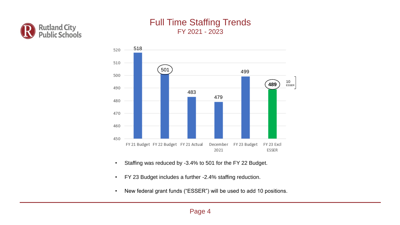

#### Full Time Staffing Trends FY 2021 - 2023



- Staffing was reduced by -3.4% to 501 for the FY 22 Budget.
- FY 23 Budget includes a further -2.4% staffing reduction.
- New federal grant funds ("ESSER") will be used to add 10 positions.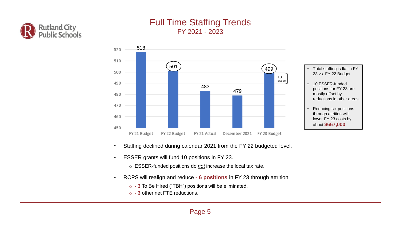

#### Full Time Staffing Trends FY 2021 - 2023



- Staffing declined during calendar 2021 from the FY 22 budgeted level.
- ESSER grants will fund 10 positions in FY 23.
	- o ESSER-funded positions do *not* increase the local tax rate.
- RCPS will realign and reduce **- 6 positions** in FY 23 through attrition:
	- o **- 3** To Be Hired ("TBH") positions will be eliminated.
	- o **- 3** other net FTE reductions.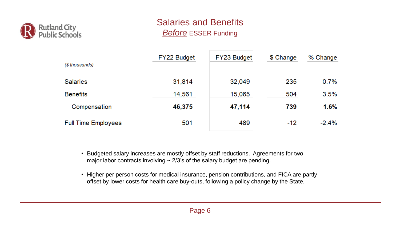

## Salaries and Benefits *Before* ESSER Funding

| (\$ thousands)             | FY22 Budget | FY23 Budget | \$ Change | % Change |
|----------------------------|-------------|-------------|-----------|----------|
| <b>Salaries</b>            | 31,814      | 32,049      | 235       | 0.7%     |
| <b>Benefits</b>            | 14,561      | 15,065      | 504       | 3.5%     |
| Compensation               | 46,375      | 47,114      | 739       | 1.6%     |
| <b>Full Time Employees</b> | 501         | 489         | $-12$     | $-2.4%$  |

• Budgeted salary increases are mostly offset by staff reductions. Agreements for two major labor contracts involving  $\sim$  2/3's of the salary budget are pending.

• Higher per person costs for medical insurance, pension contributions, and FICA are partly offset by lower costs for health care buy-outs, following a policy change by the State.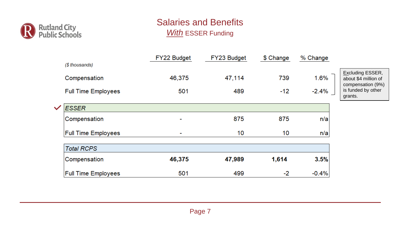

## Salaries and Benefits *With* ESSER Funding

|                      | (\$ thousands)                             | FY22 Budget    | FY23 Budget   | \$ Change    | % Change        |                                                                                                       |
|----------------------|--------------------------------------------|----------------|---------------|--------------|-----------------|-------------------------------------------------------------------------------------------------------|
|                      | Compensation<br><b>Full Time Employees</b> | 46,375<br>501  | 47,114<br>489 | 739<br>$-12$ | 1.6%<br>$-2.4%$ | <b>Excluding ESSER,</b><br>about \$4 million of<br>compensation (9%)<br>is funded by other<br>grants. |
| $\blacktriangledown$ | <b>ESSER</b>                               |                |               |              |                 |                                                                                                       |
|                      | Compensation                               | $\blacksquare$ | 875           | 875          | n/a             |                                                                                                       |
|                      | <b>Full Time Employees</b>                 | $\blacksquare$ | 10            | 10           | n/a             |                                                                                                       |
|                      | <b>Total RCPS</b>                          |                |               |              |                 |                                                                                                       |
|                      | Compensation                               | 46,375         | 47,989        | 1,614        | 3.5%            |                                                                                                       |
|                      | <b>Full Time Employees</b>                 | 501            | 499           | $-2$         | $-0.4%$         |                                                                                                       |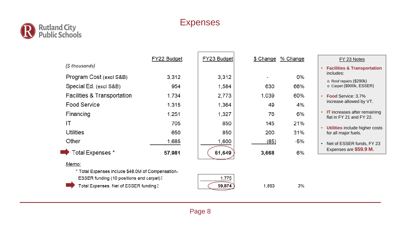

## Expenses

|                                                   | FY22 Budget | FY23 Budget | \$ Change | % Change | FY 23 Notes                                                     |
|---------------------------------------------------|-------------|-------------|-----------|----------|-----------------------------------------------------------------|
| (\$ thousands)                                    |             |             |           |          | <b>Facilities &amp; Transportation</b>                          |
| Program Cost (excl S&B)                           | 3,312       | 3,312       |           | 0%       | includes:                                                       |
| Special Ed. (excl S&B)                            | 954         | 1,584       | 630       | 66%      | o Roof repairs (\$290k)<br>o Carpet (\$900k, ESSER)             |
| <b>Facilities &amp; Transportation</b>            | 1,734       | 2,773       | 1,039     | 60%      | <b>Food Service: 3.7%</b>                                       |
| <b>Food Service</b>                               | 1,315       | 1,364       | 49        | 4%       | increase allowed by VT.                                         |
| Financing                                         | 1,251       | 1,327       | 76        | 6%       | <b>IT</b> increases after remaining<br>flat in FY 21 and FY 22. |
| IT                                                | 705         | 850         | 145       | 21%      |                                                                 |
| <b>Utilities</b>                                  | 650         | 850         | 200       | 31%      | Utilities include higher costs<br>for all major fuels.          |
| Other                                             | 1,685       | 1,600       | (85)      | $-5%$    | Net of ESSER funds, FY 23<br>$\bullet$                          |
| Total Expenses *                                  | 57,981      | 61,649      | 3,668     | 6%       | Expenses are \$59.9 M.                                          |
| Memo:                                             |             |             |           |          |                                                                 |
| * Total Expenses include \$48.0M of Compensation. |             |             |           |          |                                                                 |

1,775 59,874

1,893

 $3%$ 

**ESSER funding (10 positions and carpet)** Total Expenses, Net of ESSER funding

Page 8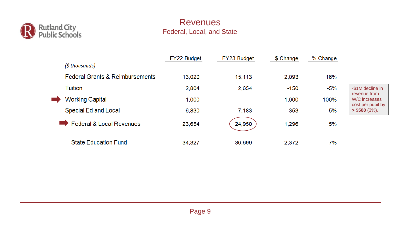

#### Revenues Federal, Local, and State

|                                            | FY22 Budget | FY23 Budget              | \$ Change | % Change |                                      |
|--------------------------------------------|-------------|--------------------------|-----------|----------|--------------------------------------|
| (\$ thousands)                             |             |                          |           |          |                                      |
| <b>Federal Grants &amp; Reimbursements</b> | 13,020      | 15,113                   | 2,093     | 16%      |                                      |
| <b>Tuition</b>                             | 2,804       | 2,654                    | $-150$    | $-5%$    | -\$1M decline in                     |
| <b>Working Capital</b><br>$\blacksquare$   | 1,000       | $\overline{\phantom{a}}$ | $-1,000$  | $-100%$  | revenue from<br>W/C increases        |
| Special Ed and Local                       | 6,830       | 7,183                    | 353       | 5%       | cost per pupil by<br>$>$ \$500 (3%). |
| <b>Federal &amp; Local Revenues</b>        | 23,654      | 24,950                   | 1,296     | 5%       |                                      |
| <b>State Education Fund</b>                | 34,327      | 36,699                   | 2,372     | 7%       |                                      |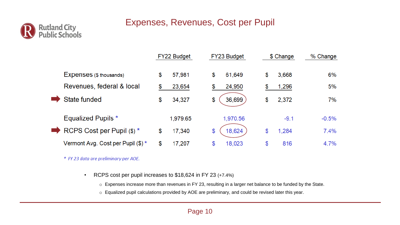#### Expenses, Revenues, Cost per Pupil



|                                    | FY22 Budget  | FY23 Budget  |    | \$ Change | % Change |  |
|------------------------------------|--------------|--------------|----|-----------|----------|--|
| Expenses (\$ thousands)            | \$<br>57,981 | \$<br>61,649 | \$ | 3,668     | 6%       |  |
| Revenues, federal & local          | \$<br>23,654 | \$<br>24,950 |    | 1,296     | 5%       |  |
| State funded                       | \$<br>34,327 | \$<br>36,699 | \$ | 2,372     | 7%       |  |
| <b>Equalized Pupils *</b>          | 1,979.65     | 1,970.56     |    | $-9.1$    | $-0.5%$  |  |
| RCPS Cost per Pupil (\$) *         | \$<br>17,340 | \$<br>18,624 | \$ | 1,284     | 7.4%     |  |
| Vermont Avg. Cost per Pupil (\$) * | \$<br>17,207 | \$<br>18,023 | \$ | 816       | 4.7%     |  |

\* FY 23 data are preliminary per AOE.

• RCPS cost per pupil increases to \$18,624 in FY 23 (+7.4%)

o Expenses increase more than revenues in FY 23, resulting in a larger net balance to be funded by the State.

o Equalized pupil calculations provided by AOE are preliminary, and could be revised later this year.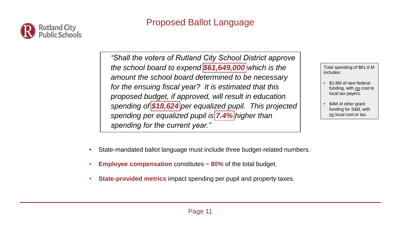

## Proposed Ballot Language

*"Shall the voters of Rutland City School District approve the school board to expend \$61,649,000 which is the amount the school board determined to be necessary for the ensuing fiscal year? It is estimated that this proposed budget, if approved, will result in education spending of \$18,624 per equalized pupil. This projected spending per equalized pupil is 7.4% higher than spending for the current year."*

Total spending of \$61.6 M includes:

- \$1.8M of new federal funding, with *no* cost to local tax payers.
- \$4M of other grant funding for S&B, with *no* local cost or tax.

- State-mandated ballot language must include three budget-related numbers.
- **Employee compensation** constitutes **~ 80%** of the total budget.
- **State-provided metrics** impact spending per pupil and property taxes.